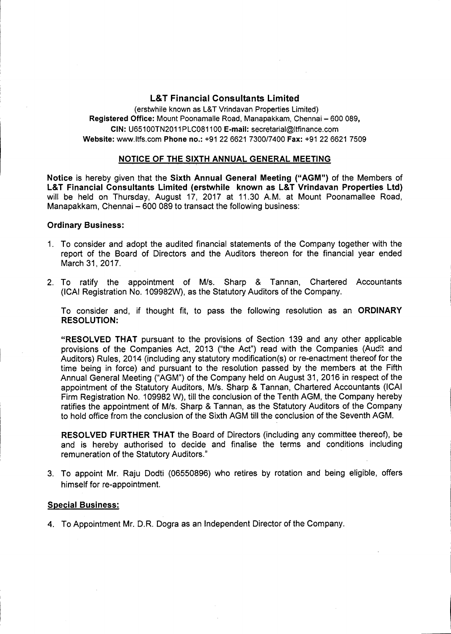## L&T Financial Consultants Limited

(erstwhile known as L&T Vrindavan Properties Limited) Registered Office: Mount Poonamalle Road, Manapakkam, Chennai - 600 089, elN: U651 00TN2011 PLC0811 00 E-mail: [secretarial@ltfinance.com](mailto:secretarial@ltfinance.com) Website: [www.ltfs.com](http://www.ltfs.com) Phone no.: +91 226621 7300/7400 Fax: +91 226621 7509

## NOTICE OF THE SIXTH ANNUAL GENERAL MEETING

Notice is hereby given that the Sixth Annual General Meeting ("AGM") of the Members of L&T Financial Consultants Limited (erstwhile known as L&T Vrindavan Properties Ltd) will be held on Thursday, August 17, 2017 at 11.30 A.M. at Mount Poonamallee Road, Manapakkam, Chennai - 600 089 to transact the following business:

#### Ordinary Business:

- 1. To consider and adopt the audited financial statements of the Company together with the report of the Board of Directors and the Auditors thereon for the financial year ended March 31, 2017.
- 2. To ratify the appointment of *MIs.* Sharp & Tannan, Chartered Accountants (ICAI Registration No. 109982W), as the Statutory Auditors of the Company.

To consider and, if thought fit, to pass the following resolution as an ORDINARY RESOLUTION:

"RESOLVED THAT pursuant to the provisions of Section 139 and any other applicable provisions of the Companies Act, 2013 ("the Act") read with the Companies (Audit and Auditors) Rules, 2014 (including any statutory modification(s) or re-enactment thereof for the time being in force) and pursuant to the resolution passed by the members at the Fifth Annual General Meeting ("AGM") of the Company held on August 31,2016 in respect of the appointment of the Statutory Auditors, *MIs.* Sharp & Tannan, Chartered Accountants (ICAI Firm Registration No. 109982 W), till the conclusion of the Tenth AGM, the Company hereby ratifies the appointment of *MIs.* Sharp & Tannan, as the Statutory Auditors of the Company to hold office from the conclusion of the Sixth AGM till the conclusion of the Seventh AGM.

RESOLVED FURTHER THAT the Board of Directors (including any committee thereof), be and is hereby authorised to decide and finalise the terms and conditions including remuneration of the Statutory Auditors."

3. To appoint Mr. Raju Dodti (06550896) who retires by rotation and being eligible, offers himself for re-appointment.

## Special Business:

4. To Appointment Mr. D.R. Dogra as an Independent Director of the Company.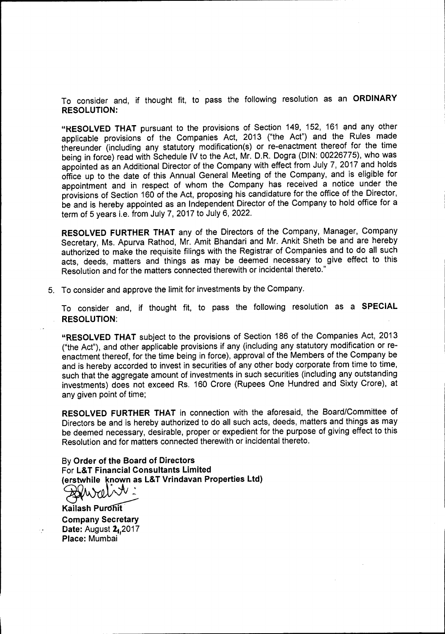To consider and, if thought fit, to pass the following resolution as an **ORDINARY RESOLUTION:**

"RESOLVED THAT pursuant to the provisions of Section 149, 152, 161 and any other applicable provisions of the Companies Act, 2013 ("the Act") and the Rules made thereunder (including any statutory modification(s) or re-enactment thereof for the time being in force) read with Schedule IV to the Act, Mr. D.R. Dogra (DIN: 00226775), who was appointed as an Additional Director of the Company with effect from July 7, 2017 and holds office up to the date of this Annual General Meeting of the Company, and is eligible for appointment and in respect of whom the Company has received a notice under the provisions of Section 160 of the Act, proposing his candidature for the office of the Director, be and is hereby appointed as an Independent Director of the Company to hold office for a term of 5 years i.e. from July 7,2017 to July 6,2022.

**RESOLVED FURTHER THAT** any of the Directors of the Company, Manager, Company Secretary, Ms. Apurva Rathod, Mr. Amit Bhandari and Mr. Ankit Sheth be and are hereby authorized to make the requisite filings with the Registrar of Companies and to do all such acts, deeds, matters and things as may be deemed necessary to give effect to this Resolution and for the matters connected therewith or incidental thereto."

5. To consider and approve the limit for investments by the Company.

To consider and, if thought fit, to pass the following resolution as a **SPECIAL RESOLUTION:**

**"RESOLVED THAT** subject to the provisions of Section 186 of the Companies Act, 2013 ("the Act"), and other applicable provisions if any (including any statutory modification or reenactment thereof, for the time being in force), approval of the Members of the Company be and is hereby accorded to invest in securities of any other body corporate from time to time, such that the aggregate amount of investments in such securities (including any outstanding investments) does not exceed Rs. 160 Crore (Rupees One Hundred and Sixty Crore), at any given point of time;

**RESOLVED FURTHER THAT** in connection with the aforesaid, the Board/Committee of Directors be and is hereby authorized to do all such acts, deeds, matters and things as may be deemed necessary, desirable, proper or expedient for the purpose of giving effect to this Resolution and for matters connected therewith or incidental thereto.

By **Order of the Board of Directors** For **L&T Financial Consultants Limited (erstwhile known as L&T Vrindavan Properties Ltd)**

 $\cancel{\cong}$ 

Kailash Purohit **Company Secretary Date:** August 2,,2017 **Place:** Mumbai

 $\overline{\phantom{a}}$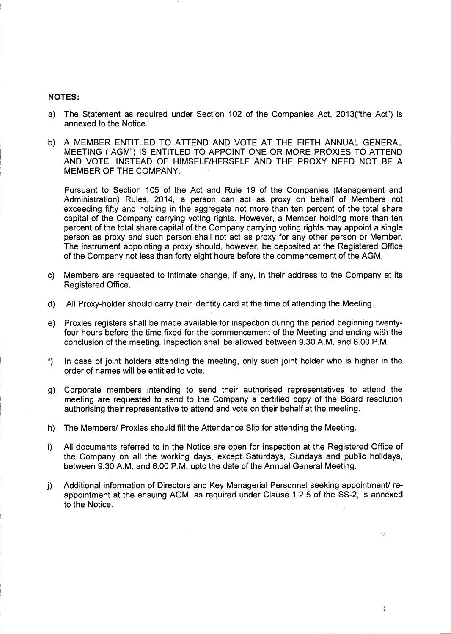#### **NOTES:**

I

- a) The Statement as required under Section 102 of the Companies Act, 2013("the Act") is annexed to the Notice.
- b) A MEMBER ENTITLED TO ATTEND AND VOTE AT THE FIFTH ANNUAL GENERAL MEETING ("AGM") IS ENTITLED TO APPOINT ONE OR MORE PROXIES TO ATTEND AND VOTE, INSTEAD OF HIMSELF!HERSELF AND THE PROXY NEED NOT BE A MEMBER OF THE COMPANY.

Pursuant to Section 105 of the Act and Rule 19 of the Companies (Management and Administration) Rules, 2014, a person can act as proxy on behalf of Members not exceeding fifty and holding in the aggregate not more than ten percent of the total share capital of the Company carrying voting rights. However, a Member holding more than ten percent of the total share capital of the Company carrying voting rights may appoint a single person as proxy and such person shall not act as proxy for any other person or Member. The instrument appointing a proxy should, however, be deposited at the Registered Office of the Company not less than forty eight hours before the commencement of the AGM.

- c) Members are requested to intimate change, if any, in their address to the Company at its Registered Office.
- d) All Proxy-holder should carry their identity card at the time of attending the Meeting.
- e) Proxies registers shall be made available for inspection during the period beginning twentyfour hours before the time fixed for the commencement of the Meeting and ending with the conclusion of the meeting. Inspection shall be allowed between 9.30 A.M. and 6.00 P.M.
- f) In case of joint holders attending the meeting, only such joint holder who is higher in the order of names will be entitled to vote.
- g) Corporate members intending to send their authorised representatives to attend the meeting are requested to send to the Company a certified copy of the Board resolution authorising their representative to attend and vote on their behalf at the meeting.
- h) The Members/ Proxies should fill the Attendance Slip for attending the Meeting.
- i) All documents referred to in the Notice are open for inspection at the Registered Office of the Company on all the working days, except Saturdays, Sundays and public holidays,. between 9.30 A.M. and 6.00 P.M. upto the date of the Annual General Meeting.
- j) Additional information of Directors and Key Managerial Personnel seeking appointment/ reappointment at the ensuing AGM, as required under Clause 1.2.5 of the SS-2, is annexed to the Notice.

 $\omega_{\rm T}$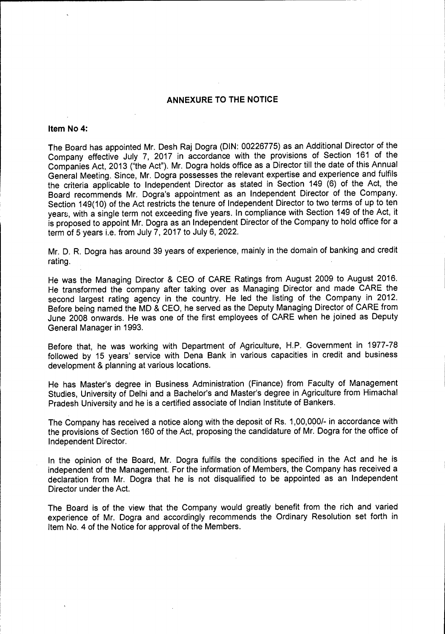## **ANNEXURE TO THE NOTICE**

#### **Item No 4:**

The Board has appointed Mr. Desh Raj Dogra (DIN: 00226775) as an Additional Director of the Company effective July 7, 2017 in accordance with the provisions of Section 161 of the Companies Act, 2013 ("the Act"). Mr. Dogra holds office as a Director till the date of this Annual General Meeting. Since, Mr. Dogra possesses the relevant expertise and experience and fulfils the criteria applicable to Independent Director as stated in Section 149 (6) of the Act, the Board recommends Mr. Dogra's appointment as an Independent Director of the Company. Section 149(10) of the Act restricts the tenure of Independent Director to two terms of up to ten years, with a single term not exceeding five years. In compliance with Section 149 of the Act, it is proposed to appoint Mr. Dogra as an Independent Director of the Company to hold office for a term of 5 years i.e. from July 7, 2017 to July 6, 2022.

Mr. D. R. Dogra has around 39 years of experience, mainly in the domain of banking and credit rating.

He was the Managing Director & CEO of CARE Ratings from August 2009 to August 2016. He transformed the company after taking over as Managing Director and made CARE the second largest rating agency in the country. He led the listing of the Company in 2012. Before being named the MD & CEO, he served as the Deputy Managing Director of CARE from June 2008 onwards. He was one of the first employees of CARE when he joined as Deputy General Manager in 1993.

Before that, he was working with Department of Agriculture, H.P. Government in 1977-78 followed by 15 years' service with Dena Bank in various capacities in credit and business development & planning at various locations.

He has Master's degree in Business Administration (Finance) from Faculty of Management Studies, University of Delhi and a Bachelor's and Master's degree in Agriculture from Himachal Pradesh University and he is a certified associate of Indian Institute of Bankers.

The Company has received a notice along with the deposit of Rs. *1,00,0001-* in accordance with the provisions of Section 160 of the Act, proposing the candidature of Mr. Dogra for the office of Independent Director.

In the opinion of the Board, Mr. Dogra fulfils the conditions specified in the Act and he is independent of the Management. For the information of Members, the Company has received a declaration from Mr. Dogra that he is not disqualified to be appointed as an Independent Director under the Act.

The Board is of the view that the Company would greatly benefit from the rich and varied experience of Mr. Dogra and accordingly recommends the Ordinary Resolution set forth in Item No. 4 of the Notice for approval of the Members.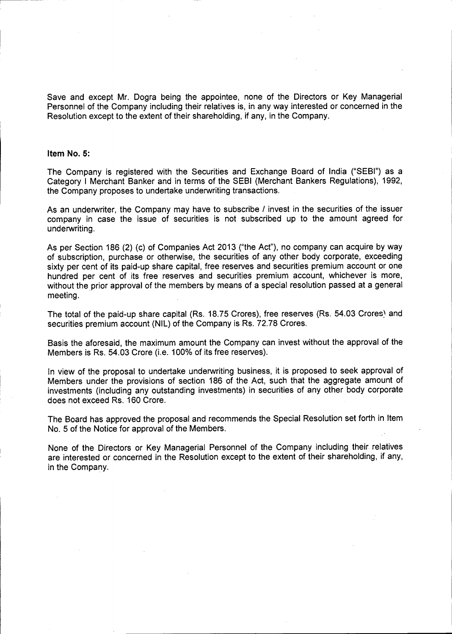Save and except Mr. Dogra being the appointee, none of the Directors or Key Managerial Personnel of the Company including their relatives is, in any way interested or concerned in the Resolution except to the extent of their shareholding, if any, in the Company.

#### **Item** NO.5:

The Company is registered with the Securities and Exchange Board of India ("SEBI") as a Category I Merchant Banker and in terms of the SEBI (Merchant Bankers Regulations), 1992, the Company proposes to undertake underwriting transactions.

As an underwriter, the Company may have to subscribe *I* invest in the securities of the issuer company in case the issue of securities is not subscribed up to the amount agreed for underwriting.

As per Section 186 (2) (c) of Companies Act 2013 ("the Act"), no company can acquire by way of subscription, purchase or otherwise, the securities of any other body corporate, exceeding sixty per cent of its paid-up share capital, free reserves and securities premium account or one hundred per cent of its free reserves and securities premium account, whichever is more, without the prior approval of the members by means of a special resolution passed at a general meeting.

The total of the paid-up share capital (Rs. 18.75 Crores), free reserves (Rs. 54.03 Crores) and securities premium account (NIL) of the Company is Rs. 72.78 Crores.

Basis the aforesaid, the maximum amount the Company can invest without the approval of the Members is Rs. 54.03 Crore (i.e. 100% of its free reserves).

In view of the proposal to undertake underwriting business, it is proposed to seek approval of Members under the provisions of section 186 of the Act, such that the aggregate amount of investments (including any outstanding investments) in securities of any other body corporate does not exceed Rs. 160 Crore.

The Board has approved the proposal and recommends the Special Resolution set forth in Item NO.5 of the Notice for approval of the Members.

None of the Directors or Key Managerial Personnel of the Company including their relatives are interested or concerned in the Resolution except to the extent of their shareholding, if any, in the Company.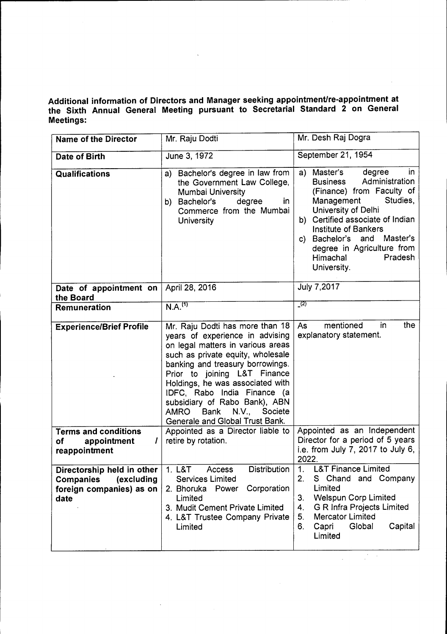**Additional information of Directors and Manager seeking appointmentlre-appointment at the Sixth Annual General Meeting pursuant to Secretarial Standard 2 on General Meetings:**

| <b>Name of the Director</b>                                                                               | Mr. Raju Dodti                                                                                                                                                                                                                                                                                                                                                                                     | Mr. Desh Raj Dogra                                                                                                                                                                                                                                                                                                         |
|-----------------------------------------------------------------------------------------------------------|----------------------------------------------------------------------------------------------------------------------------------------------------------------------------------------------------------------------------------------------------------------------------------------------------------------------------------------------------------------------------------------------------|----------------------------------------------------------------------------------------------------------------------------------------------------------------------------------------------------------------------------------------------------------------------------------------------------------------------------|
| <b>Date of Birth</b>                                                                                      | June 3, 1972                                                                                                                                                                                                                                                                                                                                                                                       | September 21, 1954                                                                                                                                                                                                                                                                                                         |
| <b>Qualifications</b>                                                                                     | Bachelor's degree in law from<br>a)<br>the Government Law College,<br>Mumbai University<br>degree<br>b) Bachelor's<br>in.<br>Commerce from the Mumbai<br>University                                                                                                                                                                                                                                | a) Master's<br>degree<br>in.<br>Administration<br><b>Business</b><br>(Finance) from Faculty of<br>Management<br>Studies,<br>University of Delhi<br>Certified associate of Indian<br>b)<br><b>Institute of Bankers</b><br>c) Bachelor's and<br>Master's<br>degree in Agriculture from<br>Pradesh<br>Himachal<br>University. |
| Date of appointment on<br>the Board                                                                       | April 28, 2016                                                                                                                                                                                                                                                                                                                                                                                     | July 7,2017                                                                                                                                                                                                                                                                                                                |
| Remuneration                                                                                              | $N.A.$ <sup>(1)</sup>                                                                                                                                                                                                                                                                                                                                                                              | (2)                                                                                                                                                                                                                                                                                                                        |
| <b>Experience/Brief Profile</b>                                                                           | Mr. Raju Dodti has more than 18<br>years of experience in advising<br>on legal matters in various areas<br>such as private equity, wholesale<br>banking and treasury borrowings.<br>Prior to joining L&T Finance<br>Holdings, he was associated with<br>IDFC, Rabo India Finance (a<br>subsidiary of Rabo Bank), ABN<br>N.V.,<br>Bank<br>Societe<br><b>AMRO</b><br>Generale and Global Trust Bank. | mentioned<br>the<br>in<br>As<br>explanatory statement.                                                                                                                                                                                                                                                                     |
| <b>Terms and conditions</b><br>of<br>appointment<br>Ι<br>reappointment                                    | Appointed as a Director liable to<br>retire by rotation.                                                                                                                                                                                                                                                                                                                                           | Appointed as an Independent<br>Director for a period of 5 years<br>i.e. from July 7, 2017 to July 6,<br>2022.                                                                                                                                                                                                              |
| Directorship held in other   1. L&T<br><b>Companies</b><br>(excluding<br>foreign companies) as on<br>date | <b>Distribution</b><br>Access<br><b>Services Limited</b><br>Corporation<br>2. Bhoruka Power<br>Limited<br>3. Mudit Cement Private Limited<br>4. L&T Trustee Company Private<br>Limited                                                                                                                                                                                                             | <b>L&amp;T Finance Limited</b><br>1.<br>2.<br>S Chand and Company<br>Limited<br><b>Welspun Corp Limited</b><br>3.<br><b>G R Infra Projects Limited</b><br>4.<br><b>Mercator Limited</b><br>5.<br>Capital<br>Capri<br>Global<br>6.<br>Limited                                                                               |

 $\frac{1}{2} \sum_{i=1}^{n} \frac{1}{i} \frac{1}{i}$ 

 $\sim$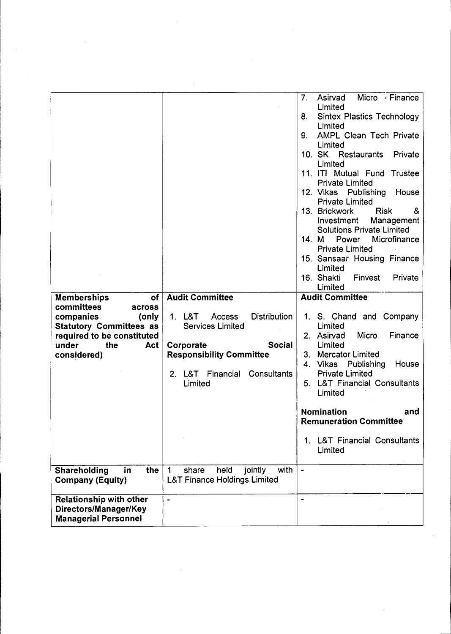| <b>Memberships</b><br>of <sub>l</sub><br>committees<br>across<br>companies<br>(only<br><b>Statutory Committees as</b><br>required to be constituted<br>under<br>Act<br>the<br>considered) | <b>Audit Committee</b><br>1. L&T Access<br><b>Distribution</b><br><b>Services Limited</b><br>Corporate<br>Social<br><b>Responsibility Committee</b><br>2. L&T Financial Consultants<br>Limited | Micro / Finance<br>7.<br>Asirvad<br>Limited<br>8.<br><b>Sintex Plastics Technology</b><br>Limited<br>9. AMPL Clean Tech Private<br>Limited<br>10. SK Restaurants Private<br>Limited<br>11. ITI Mutual Fund Trustee<br><b>Private Limited</b><br>12. Vikas Publishing House<br><b>Private Limited</b><br><b>Risk</b><br>&<br>13. Brickwork<br>Management<br>Investment<br><b>Solutions Private Limited</b><br>14. M Power Microfinance<br><b>Private Limited</b><br>15. Sansaar Housing Finance<br>Limited<br>16. Shakti<br>Finvest<br>Private<br>Limited<br><b>Audit Committee</b><br>1. S. Chand and Company<br>Limited<br>Micro<br>2. Asirvad<br>Finance<br>Limited<br>3.<br>Mercator Limited<br>Publishing<br>House<br>4. Vikas<br><b>Private Limited</b><br>5. L&T Financial Consultants |
|-------------------------------------------------------------------------------------------------------------------------------------------------------------------------------------------|------------------------------------------------------------------------------------------------------------------------------------------------------------------------------------------------|----------------------------------------------------------------------------------------------------------------------------------------------------------------------------------------------------------------------------------------------------------------------------------------------------------------------------------------------------------------------------------------------------------------------------------------------------------------------------------------------------------------------------------------------------------------------------------------------------------------------------------------------------------------------------------------------------------------------------------------------------------------------------------------------|
|                                                                                                                                                                                           |                                                                                                                                                                                                | Limited                                                                                                                                                                                                                                                                                                                                                                                                                                                                                                                                                                                                                                                                                                                                                                                      |
|                                                                                                                                                                                           |                                                                                                                                                                                                | <b>Nomination</b><br>and<br><b>Remuneration Committee</b><br>1. L&T Financial Consultants<br>Limited                                                                                                                                                                                                                                                                                                                                                                                                                                                                                                                                                                                                                                                                                         |
| the<br>Shareholding<br>in<br><b>Company (Equity)</b>                                                                                                                                      | held<br>jointly<br>with<br>$\mathbf 1$<br>share<br><b>L&amp;T Finance Holdings Limited</b>                                                                                                     | $\tilde{\phantom{a}}$                                                                                                                                                                                                                                                                                                                                                                                                                                                                                                                                                                                                                                                                                                                                                                        |
| <b>Relationship with other</b><br>Directors/Manager/Key<br><b>Managerial Personnel</b>                                                                                                    | $\blacksquare$                                                                                                                                                                                 |                                                                                                                                                                                                                                                                                                                                                                                                                                                                                                                                                                                                                                                                                                                                                                                              |

 $\mathcal{L}^{\text{max}}_{\text{max}}$ 

 $\label{eq:2.1} \frac{1}{\sqrt{2}}\left(\frac{1}{\sqrt{2}}\right)^{2} \left(\frac{1}{\sqrt{2}}\right)^{2} \left(\frac{1}{\sqrt{2}}\right)^{2} \left(\frac{1}{\sqrt{2}}\right)^{2} \left(\frac{1}{\sqrt{2}}\right)^{2} \left(\frac{1}{\sqrt{2}}\right)^{2} \left(\frac{1}{\sqrt{2}}\right)^{2} \left(\frac{1}{\sqrt{2}}\right)^{2} \left(\frac{1}{\sqrt{2}}\right)^{2} \left(\frac{1}{\sqrt{2}}\right)^{2} \left(\frac{1}{\sqrt{2}}\right)^{2} \left(\$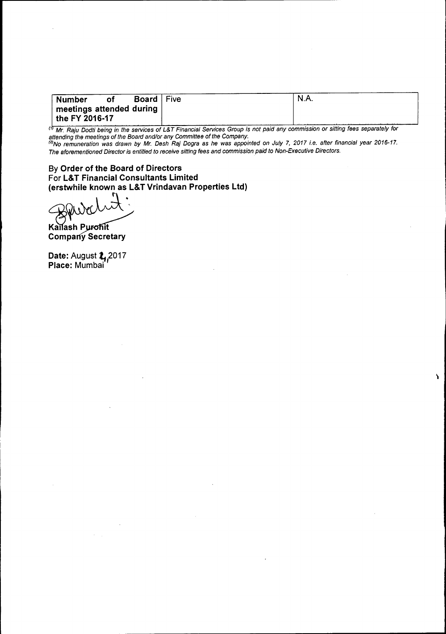| ∣ Number<br>ΩŤ                           | Board   Five | $^{\prime}$ N.A. |
|------------------------------------------|--------------|------------------|
| $^{\rm t}$ meetings attended during $_1$ |              |                  |
| the FY 2016-17 $\,$                      |              |                  |

••

(1) *Mr. Raju Dodti being in the services of L& T Financial Services Group is not paid any commission or sitting fees separately for attending the meetings of the Board and/or any Committee of the Company.*

*(21No remuneration was drawn by Mr. Desh Raj Dogra* as *he was appointed on July* 7, *2017 i.e. after financial year 2016-17. The aforementioned Director is entitled to receive sitting fees and commission paid to Non-Executive Directors.*

**By Order of the Board of Directors For L&T Financial Consultants Limited** (erstwhile known as L&T Vrindavan Properties Ltd)

Kailash Purohit **CompanY Secretary**

**Date: August t. <sup>2017</sup> Place: Mumbai '**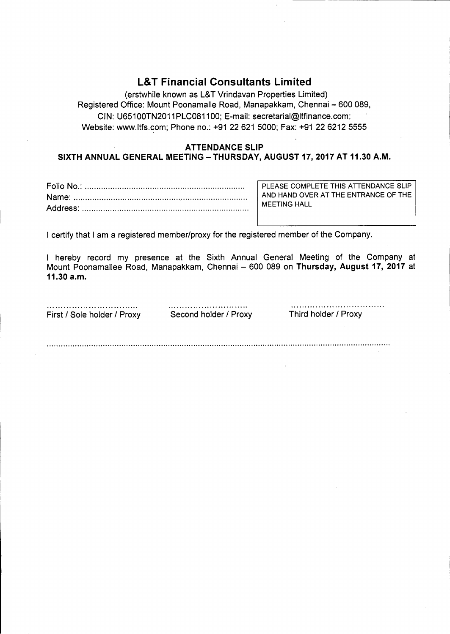# L&T Financial Consultants Limited

(erstwhile known as L&T Vrindavan Properties Limited) Registered Office: Mount Poonamalle Road, Manapakkam, Chennai - 600 089, CIN: U651 00TN2011 PLC0811 00; E-mail: [secretarial@ltfinance.com;](mailto:secretarial@ltfinance.com;) Website: [www.ltfs.com;](http://www.ltfs.com;) Phone no.: +91 22 621 5000; Fax: +91 22 6212 5555

## ATTENDANCE SLIP

# SIXTH ANNUAL GENERAL MEETING - THURSDAY, AUGUST 17, 2017 AT 11.30 A.M.

| PLEASE COMPLETE THIS ATTENDANCE SLIP |
|--------------------------------------|
| AND HAND OVER AT THE ENTRANCE OF THE |
| <b>MEETING HALL</b>                  |
|                                      |

I certify that I am a registered member/proxy for the registered member of the Company.

I hereby record my presence at the Sixth Annual General Meeting of the Company at Mount Poonamallee Road, Manapakkam, Chennai - 600 089 on Thursday, August 17, 2017 at 11.30 a.m.

First / Sole holder / Proxy Second holder / Proxy Third holder / Proxy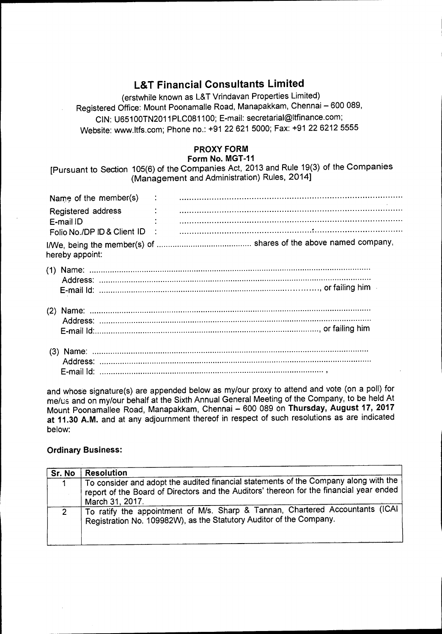# **L&T Financial Consultants Limited**

(erstwhile known as L&T Vrindavan Properties Limited) Registered Office: Mount Poonamalle Road, Manapakkam, Chennai - 600 089, CIN: U651 00TN2011 PLC0811 00; E-mail: [secretarial@ltfinance.com;](mailto:secretarial@ltfinance.com;) Website: [www.ltfs.com;](http://www.ltfs.com;) Phone no.: +91 22621 5000; Fax: +91 2262125555

## PROXY FORM

## Form No. MGT-11

[Pursuant to Section 105(6) of the Companies Act, 2013 and Rule 19(3) of the Companies (Management and Administration) Rules, 2014]

| Name of the member(s)                                                               | $\mathcal{L}^{(1)}$ . The communication of the communication of the communication of the communication of the communication of the communication of the communication of the communication of the communication of the communication                     |
|-------------------------------------------------------------------------------------|----------------------------------------------------------------------------------------------------------------------------------------------------------------------------------------------------------------------------------------------------------|
| Registered address<br>E-mail ID<br>Folio No./DP ID & Client ID :<br>hereby appoint: | $\mathcal{L} = \mathcal{L} \left( \mathcal{L} \right)$ , and an anomaly definition of the contract of the contract of the contract of the contract of the contract of the contract of the contract of the contract of the contract of the contract of th |
|                                                                                     |                                                                                                                                                                                                                                                          |
|                                                                                     |                                                                                                                                                                                                                                                          |
|                                                                                     |                                                                                                                                                                                                                                                          |

and whose signature(s) are appended below as my/our proxy to attend and vote (on a poll) for me/us and on my/our behalf at the Sixth Annual General Meeting of the Company, to be held At Mount Poonamallee Road, Manapakkam, Chennai - 600 089 on Thursday, August 17, 2017 at 11.30 A.M. and at any adjournment thereof in respect of such resolutions as are indicated below:

## Ordinary Business:

| Sr. No | <b>Resolution</b>                                                                                                                                                                                  |
|--------|----------------------------------------------------------------------------------------------------------------------------------------------------------------------------------------------------|
|        | To consider and adopt the audited financial statements of the Company along with the<br>report of the Board of Directors and the Auditors' thereon for the financial year ended<br>March 31, 2017. |
| 2.     | To ratify the appointment of M/s. Sharp & Tannan, Chartered Accountants (ICAI<br>Registration No. 109982W), as the Statutory Auditor of the Company.                                               |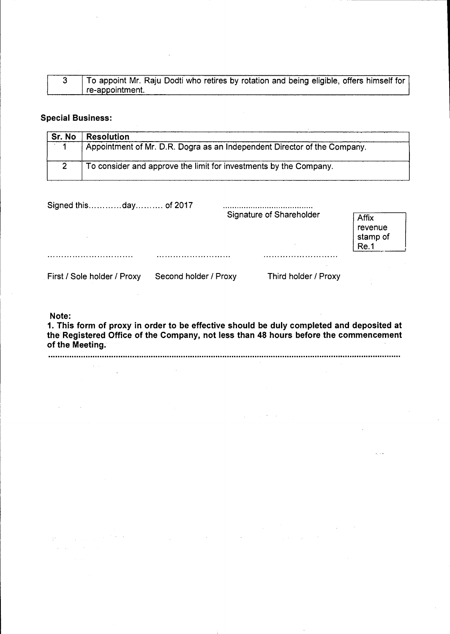| To appoint Mr. Raju Dodti who retires by rotation and being eligible, offers himself for |
|------------------------------------------------------------------------------------------|
| re-appointment.                                                                          |

## Special Business:

| Sr. No | $\vert$ Resolution                                                       |
|--------|--------------------------------------------------------------------------|
|        | Appointment of Mr. D.R. Dogra as an Independent Director of the Company. |
|        | To consider and approve the limit for investments by the Company.        |

|                             |                       | Signature of Shareholder | Affix<br>revenue<br>stamp of<br>Re.1 |  |
|-----------------------------|-----------------------|--------------------------|--------------------------------------|--|
| First / Sole holder / Proxy | Second holder / Proxy | Third holder / Proxy     |                                      |  |

## Note:

 $\sim 10^{11}$ 

 $\sim 10^7$ 

 $\mathcal{D}^{(1)}(\mathcal{E})$  , where  $\mathcal{E}^{(1)}(\mathcal{E})$  is  $\mathcal{E}^{(2)}(\mathcal{E})$ 

 $\mathcal{L}(\mathbf{x}) = \mathbf{y} \mathbf{z}$  ,  $\mathcal{L}(\mathbf{x}) = \mathcal{L}(\mathbf{x})$ 

 $\mathcal{L}$ 

1. This form of proxy in order to be effective should be duly completed and deposited at the Registered Office of the Company, not less than 48 hours before the commencemen of the Meeting.

 $\mathcal{L}_{\mathrm{H}}$  , and  $\mathcal{L}_{\mathrm{H}}$  , and  $\mathcal{L}_{\mathrm{H}}$ 

i, si